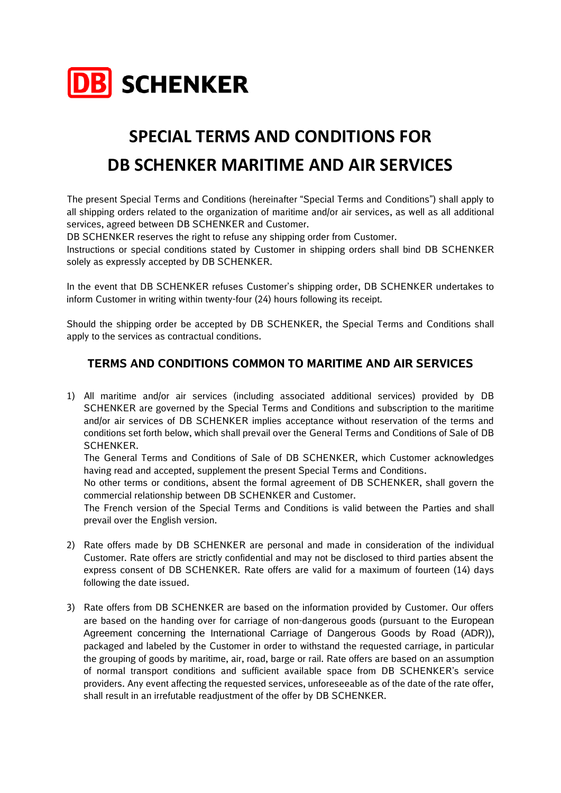

## **SPECIAL TERMS AND CONDITIONS FOR DB SCHENKER MARITIME AND AIR SERVICES**

The present Special Terms and Conditions (hereinafter "Special Terms and Conditions") shall apply to all shipping orders related to the organization of maritime and/or air services, as well as all additional services, agreed between DB SCHENKER and Customer.

DB SCHENKER reserves the right to refuse any shipping order from Customer.

Instructions or special conditions stated by Customer in shipping orders shall bind DB SCHENKER solely as expressly accepted by DB SCHENKER.

In the event that DB SCHENKER refuses Customer's shipping order, DB SCHENKER undertakes to inform Customer in writing within twenty-four (24) hours following its receipt.

Should the shipping order be accepted by DB SCHENKER, the Special Terms and Conditions shall apply to the services as contractual conditions.

## **TERMS AND CONDITIONS COMMON TO MARITIME AND AIR SERVICES**

1) All maritime and/or air services (including associated additional services) provided by DB SCHENKER are governed by the Special Terms and Conditions and subscription to the maritime and/or air services of DB SCHENKER implies acceptance without reservation of the terms and conditions set forth below, which shall prevail over the General Terms and Conditions of Sale of DB SCHENKER.

The General Terms and Conditions of Sale of DB SCHENKER, which Customer acknowledges having read and accepted, supplement the present Special Terms and Conditions.

No other terms or conditions, absent the formal agreement of DB SCHENKER, shall govern the commercial relationship between DB SCHENKER and Customer.

The French version of the Special Terms and Conditions is valid between the Parties and shall prevail over the English version.

- 2) Rate offers made by DB SCHENKER are personal and made in consideration of the individual Customer. Rate offers are strictly confidential and may not be disclosed to third parties absent the express consent of DB SCHENKER. Rate offers are valid for a maximum of fourteen (14) days following the date issued.
- 3) Rate offers from DB SCHENKER are based on the information provided by Customer. Our offers are based on the handing over for carriage of non-dangerous goods (pursuant to the European Agreement concerning the International Carriage of Dangerous Goods by Road (ADR)), packaged and labeled by the Customer in order to withstand the requested carriage, in particular the grouping of goods by maritime, air, road, barge or rail. Rate offers are based on an assumption of normal transport conditions and sufficient available space from DB SCHENKER's service providers. Any event affecting the requested services, unforeseeable as of the date of the rate offer, shall result in an irrefutable readjustment of the offer by DB SCHENKER.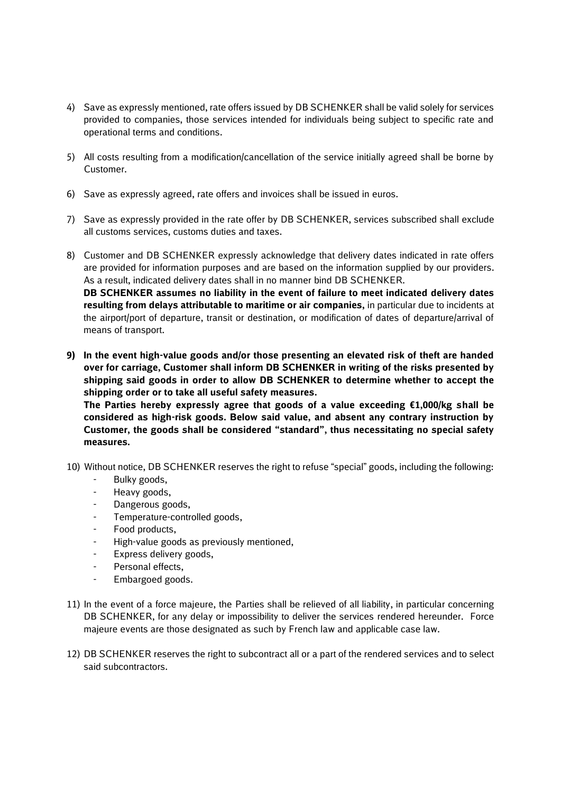- 4) Save as expressly mentioned, rate offers issued by DB SCHENKER shall be valid solely for services provided to companies, those services intended for individuals being subject to specific rate and operational terms and conditions.
- 5) All costs resulting from a modification/cancellation of the service initially agreed shall be borne by Customer.
- 6) Save as expressly agreed, rate offers and invoices shall be issued in euros.
- 7) Save as expressly provided in the rate offer by DB SCHENKER, services subscribed shall exclude all customs services, customs duties and taxes.
- 8) Customer and DB SCHENKER expressly acknowledge that delivery dates indicated in rate offers are provided for information purposes and are based on the information supplied by our providers. As a result, indicated delivery dates shall in no manner bind DB SCHENKER. **DB SCHENKER assumes no liability in the event of failure to meet indicated delivery dates resulting from delays attributable to maritime or air companies,** in particular due to incidents at the airport/port of departure, transit or destination, or modification of dates of departure/arrival of means of transport.
- **9) In the event high-value goods and/or those presenting an elevated risk of theft are handed over for carriage, Customer shall inform DB SCHENKER in writing of the risks presented by shipping said goods in order to allow DB SCHENKER to determine whether to accept the shipping order or to take all useful safety measures.**

**The Parties hereby expressly agree that goods of a value exceeding €1,000/kg shall be considered as high-risk goods. Below said value, and absent any contrary instruction by Customer, the goods shall be considered "standard", thus necessitating no special safety measures.** 

- 10) Without notice, DB SCHENKER reserves the right to refuse "special" goods, including the following:
	- Bulky goods,
	- Heavy goods,
	- Dangerous goods,
	- Temperature-controlled goods,
	- Food products,
	- High-value goods as previously mentioned,
	- Express delivery goods,
	- Personal effects,
	- Embargoed goods.
- 11) In the event of a force majeure, the Parties shall be relieved of all liability, in particular concerning DB SCHENKER, for any delay or impossibility to deliver the services rendered hereunder. Force majeure events are those designated as such by French law and applicable case law.
- 12) DB SCHENKER reserves the right to subcontract all or a part of the rendered services and to select said subcontractors.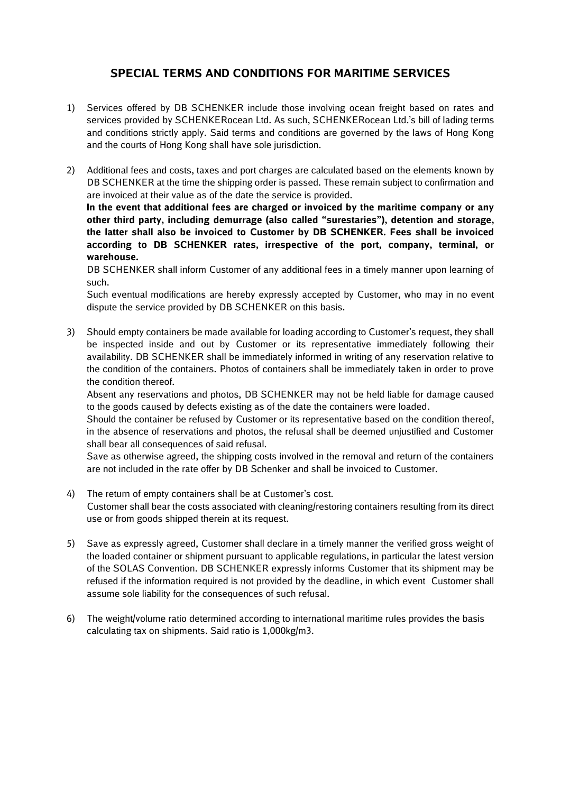## **SPECIAL TERMS AND CONDITIONS FOR MARITIME SERVICES**

- 1) Services offered by DB SCHENKER include those involving ocean freight based on rates and services provided by SCHENKERocean Ltd. As such, SCHENKERocean Ltd.'s bill of lading terms and conditions strictly apply. Said terms and conditions are governed by the laws of Hong Kong and the courts of Hong Kong shall have sole jurisdiction.
- 2) Additional fees and costs, taxes and port charges are calculated based on the elements known by DB SCHENKER at the time the shipping order is passed. These remain subject to confirmation and are invoiced at their value as of the date the service is provided.

**In the event that additional fees are charged or invoiced by the maritime company or any other third party, including demurrage (also called "surestaries"), detention and storage, the latter shall also be invoiced to Customer by DB SCHENKER. Fees shall be invoiced according to DB SCHENKER rates, irrespective of the port, company, terminal, or warehouse.**

DB SCHENKER shall inform Customer of any additional fees in a timely manner upon learning of such.

Such eventual modifications are hereby expressly accepted by Customer, who may in no event dispute the service provided by DB SCHENKER on this basis.

3) Should empty containers be made available for loading according to Customer's request, they shall be inspected inside and out by Customer or its representative immediately following their availability. DB SCHENKER shall be immediately informed in writing of any reservation relative to the condition of the containers. Photos of containers shall be immediately taken in order to prove the condition thereof.

Absent any reservations and photos, DB SCHENKER may not be held liable for damage caused to the goods caused by defects existing as of the date the containers were loaded.

Should the container be refused by Customer or its representative based on the condition thereof, in the absence of reservations and photos, the refusal shall be deemed unjustified and Customer shall bear all consequences of said refusal.

Save as otherwise agreed, the shipping costs involved in the removal and return of the containers are not included in the rate offer by DB Schenker and shall be invoiced to Customer.

- 4) The return of empty containers shall be at Customer's cost. Customer shall bear the costs associated with cleaning/restoring containers resulting from its direct use or from goods shipped therein at its request.
- 5) Save as expressly agreed, Customer shall declare in a timely manner the verified gross weight of the loaded container or shipment pursuant to applicable regulations, in particular the latest version of the SOLAS Convention. DB SCHENKER expressly informs Customer that its shipment may be refused if the information required is not provided by the deadline, in which event Customer shall assume sole liability for the consequences of such refusal.
- 6) The weight/volume ratio determined according to international maritime rules provides the basis calculating tax on shipments. Said ratio is 1,000kg/m3.